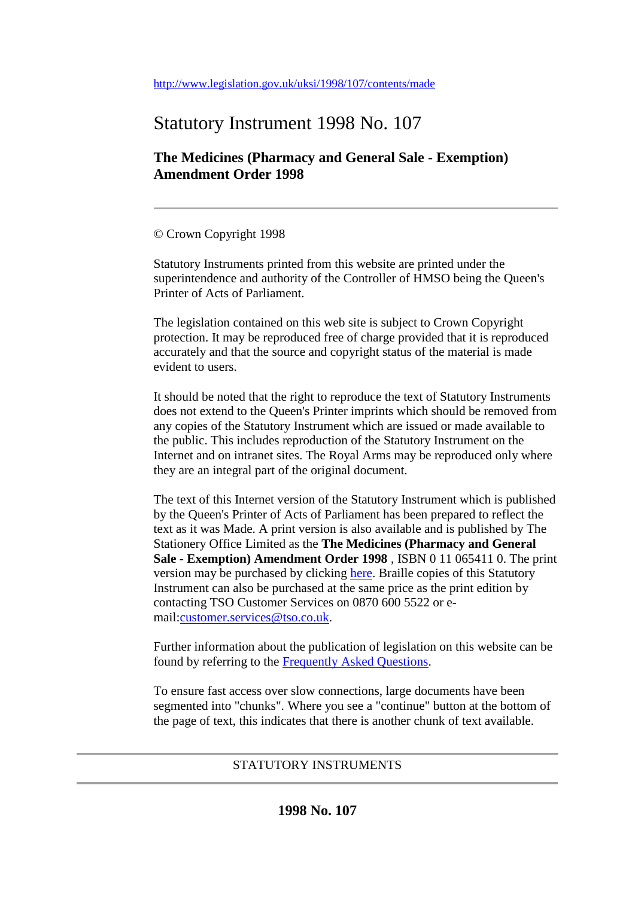# Statutory Instrument 1998 No. 107

# **The Medicines (Pharmacy and General Sale - Exemption) Amendment Order 1998**

### © Crown Copyright 1998

Statutory Instruments printed from this website are printed under the superintendence and authority of the Controller of HMSO being the Queen's Printer of Acts of Parliament.

The legislation contained on this web site is subject to Crown Copyright protection. It may be reproduced free of charge provided that it is reproduced accurately and that the source and copyright status of the material is made evident to users.

It should be noted that the right to reproduce the text of Statutory Instruments does not extend to the Queen's Printer imprints which should be removed from any copies of the Statutory Instrument which are issued or made available to the public. This includes reproduction of the Statutory Instrument on the Internet and on intranet sites. The Royal Arms may be reproduced only where they are an integral part of the original document.

The text of this Internet version of the Statutory Instrument which is published by the Queen's Printer of Acts of Parliament has been prepared to reflect the text as it was Made. A print version is also available and is published by The Stationery Office Limited as the **The Medicines (Pharmacy and General Sale - Exemption) Amendment Order 1998** , ISBN 0 11 065411 0. The print version may be purchased by clicking [here.](http://www.opsi.gov.uk/bookstore.htm?AF=A10075&FO=38383&ACTION=AddItem&ProductID=0110654110) Braille copies of this Statutory Instrument can also be purchased at the same price as the print edition by contacting TSO Customer Services on 0870 600 5522 or email[:customer.services@tso.co.uk.](mailto:customer.services@tso.co.uk)

Further information about the publication of legislation on this website can be found by referring to the [Frequently Asked Questions.](http://www.hmso.gov.uk/faqs.htm)

To ensure fast access over slow connections, large documents have been segmented into "chunks". Where you see a "continue" button at the bottom of the page of text, this indicates that there is another chunk of text available.

# STATUTORY INSTRUMENTS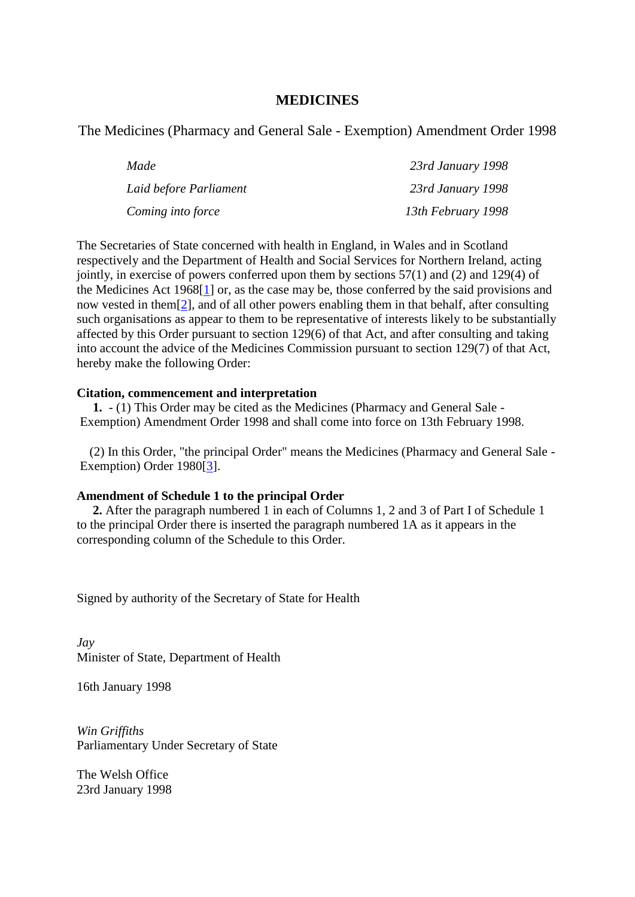### **MEDICINES**

The Medicines (Pharmacy and General Sale - Exemption) Amendment Order 1998

| Made                   | 23rd January 1998  |
|------------------------|--------------------|
| Laid before Parliament | 23rd January 1998  |
| Coming into force      | 13th February 1998 |

The Secretaries of State concerned with health in England, in Wales and in Scotland respectively and the Department of Health and Social Services for Northern Ireland, acting jointly, in exercise of powers conferred upon them by sections 57(1) and (2) and 129(4) of the Medicines Act 1968[\[1\]](http://www.opsi.gov.uk/si/si1998/19980107.htm#note1) or, as the case may be, those conferred by the said provisions and now vested in them[\[2\]](http://www.opsi.gov.uk/si/si1998/19980107.htm#note2), and of all other powers enabling them in that behalf, after consulting such organisations as appear to them to be representative of interests likely to be substantially affected by this Order pursuant to section 129(6) of that Act, and after consulting and taking into account the advice of the Medicines Commission pursuant to section 129(7) of that Act, hereby make the following Order:

#### **Citation, commencement and interpretation**

**1.** - (1) This Order may be cited as the Medicines (Pharmacy and General Sale - Exemption) Amendment Order 1998 and shall come into force on 13th February 1998.

(2) In this Order, "the principal Order" means the Medicines (Pharmacy and General Sale - Exemption) Order 1980[\[3\]](http://www.opsi.gov.uk/si/si1998/19980107.htm#note3).

#### **Amendment of Schedule 1 to the principal Order**

**2.** After the paragraph numbered 1 in each of Columns 1, 2 and 3 of Part I of Schedule 1 to the principal Order there is inserted the paragraph numbered 1A as it appears in the corresponding column of the Schedule to this Order.

Signed by authority of the Secretary of State for Health

*Jay* Minister of State, Department of Health

16th January 1998

*Win Griffiths* Parliamentary Under Secretary of State

The Welsh Office 23rd January 1998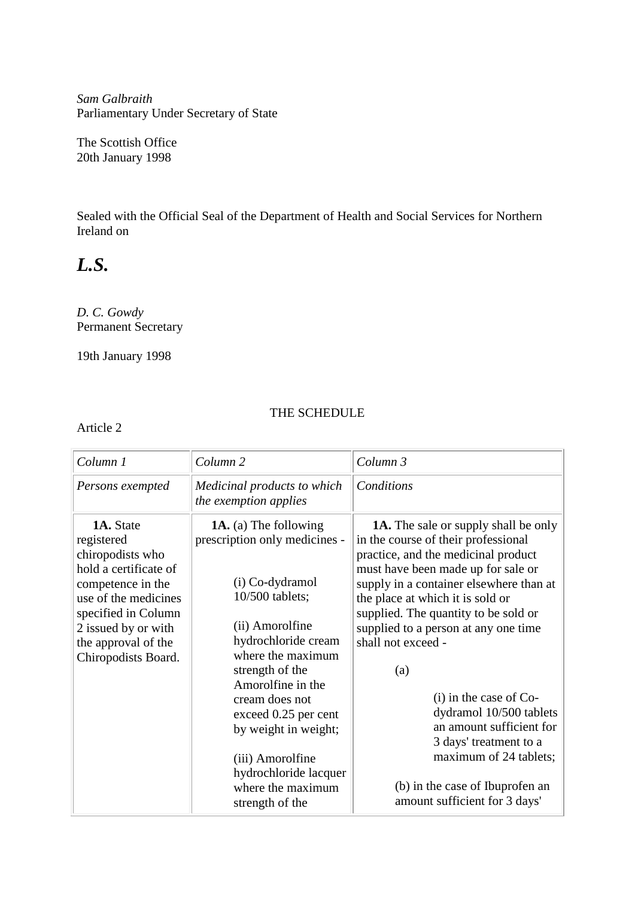*Sam Galbraith* Parliamentary Under Secretary of State

The Scottish Office 20th January 1998

Sealed with the Official Seal of the Department of Health and Social Services for Northern Ireland on

# *L.S.*

*D. C. Gowdy* Permanent Secretary

19th January 1998

# THE SCHEDULE

Article 2

| Column 1                                                                                                                                                                                                      | Column <sub>2</sub>                                                                                                                                                                                                                                                                                                                                        | Column 3                                                                                                                                                                                                                                                                                                                                                                                                                                                                                                                                                               |
|---------------------------------------------------------------------------------------------------------------------------------------------------------------------------------------------------------------|------------------------------------------------------------------------------------------------------------------------------------------------------------------------------------------------------------------------------------------------------------------------------------------------------------------------------------------------------------|------------------------------------------------------------------------------------------------------------------------------------------------------------------------------------------------------------------------------------------------------------------------------------------------------------------------------------------------------------------------------------------------------------------------------------------------------------------------------------------------------------------------------------------------------------------------|
| Persons exempted                                                                                                                                                                                              | Medicinal products to which<br>the exemption applies                                                                                                                                                                                                                                                                                                       | Conditions                                                                                                                                                                                                                                                                                                                                                                                                                                                                                                                                                             |
| 1A. State<br>registered<br>chiropodists who<br>hold a certificate of<br>competence in the<br>use of the medicines<br>specified in Column<br>2 issued by or with<br>the approval of the<br>Chiropodists Board. | 1A. (a) The following<br>prescription only medicines -<br>(i) Co-dydramol<br>10/500 tablets;<br>(ii) Amorolfine<br>hydrochloride cream<br>where the maximum<br>strength of the<br>Amorolfine in the<br>cream does not<br>exceed 0.25 per cent<br>by weight in weight;<br>(iii) Amorolfine<br>hydrochloride lacquer<br>where the maximum<br>strength of the | <b>1A.</b> The sale or supply shall be only<br>in the course of their professional<br>practice, and the medicinal product<br>must have been made up for sale or<br>supply in a container elsewhere than at<br>the place at which it is sold or<br>supplied. The quantity to be sold or<br>supplied to a person at any one time<br>shall not exceed -<br>(a)<br>$(i)$ in the case of Co-<br>dydramol 10/500 tablets<br>an amount sufficient for<br>3 days' treatment to a<br>maximum of 24 tablets;<br>(b) in the case of Ibuprofen an<br>amount sufficient for 3 days' |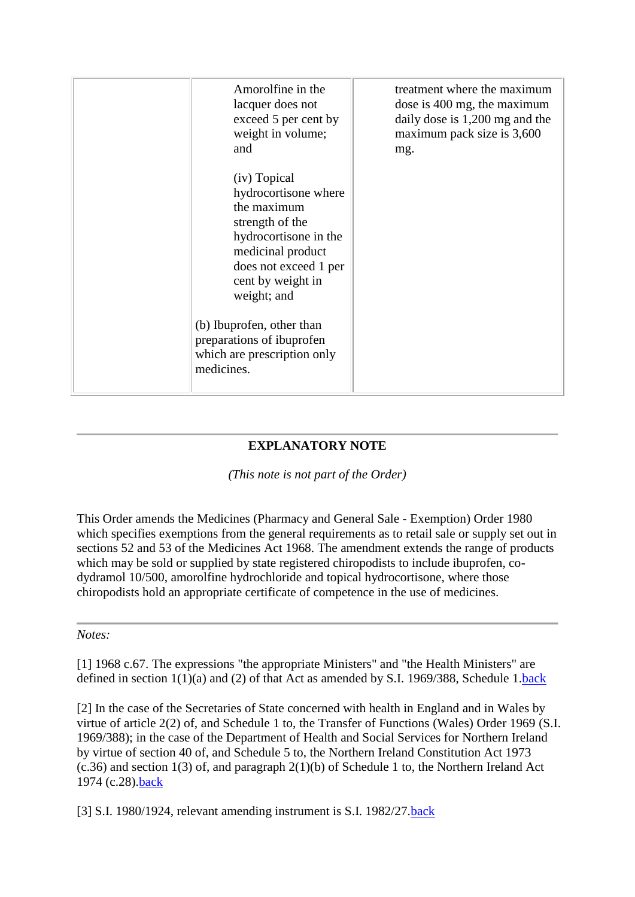| Amorolfine in the<br>lacquer does not<br>exceed 5 per cent by<br>weight in volume;<br>and                                                                                         | treatment where the maximum<br>dose is 400 mg, the maximum<br>daily dose is 1,200 mg and the<br>maximum pack size is 3,600<br>mg. |
|-----------------------------------------------------------------------------------------------------------------------------------------------------------------------------------|-----------------------------------------------------------------------------------------------------------------------------------|
| (iv) Topical<br>hydrocortisone where<br>the maximum<br>strength of the<br>hydrocortisone in the<br>medicinal product<br>does not exceed 1 per<br>cent by weight in<br>weight; and |                                                                                                                                   |
| (b) Ibuprofen, other than<br>preparations of ibuprofen<br>which are prescription only<br>medicines.                                                                               |                                                                                                                                   |

# **EXPLANATORY NOTE**

*(This note is not part of the Order)*

This Order amends the Medicines (Pharmacy and General Sale - Exemption) Order 1980 which specifies exemptions from the general requirements as to retail sale or supply set out in sections 52 and 53 of the Medicines Act 1968. The amendment extends the range of products which may be sold or supplied by state registered chiropodists to include ibuprofen, codydramol 10/500, amorolfine hydrochloride and topical hydrocortisone, where those chiropodists hold an appropriate certificate of competence in the use of medicines.

*Notes:*

[1] 1968 c.67. The expressions "the appropriate Ministers" and "the Health Ministers" are defined in section 1(1)(a) and (2) of that Act as amended by S.I. 1969/388, Schedule 1[.back](http://www.opsi.gov.uk/si/si1998/19980107.htm#n1)

[2] In the case of the Secretaries of State concerned with health in England and in Wales by virtue of article 2(2) of, and Schedule 1 to, the Transfer of Functions (Wales) Order 1969 (S.I. 1969/388); in the case of the Department of Health and Social Services for Northern Ireland by virtue of section 40 of, and Schedule 5 to, the Northern Ireland Constitution Act 1973 (c.36) and section 1(3) of, and paragraph 2(1)(b) of Schedule 1 to, the Northern Ireland Act 1974 (c.28).**back** 

[3] S.I. 1980/1924, relevant amending instrument is S.I. 1982/27[.back](http://www.opsi.gov.uk/si/si1998/19980107.htm#n3)